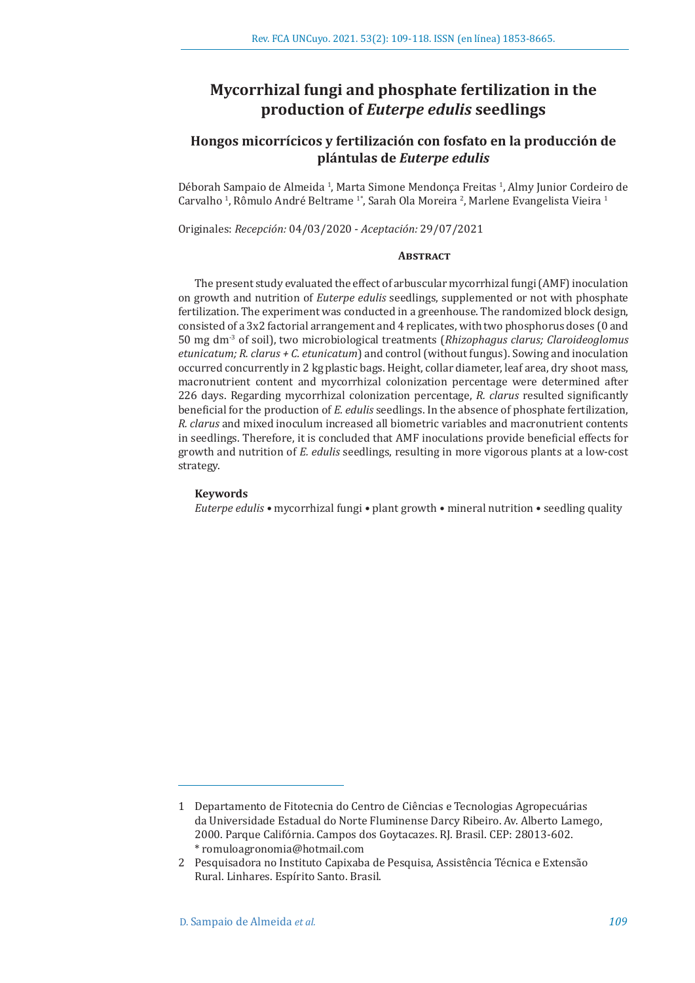# **Mycorrhizal fungi and phosphate fertilization in the production of** *Euterpe edulis* **seedlings**

# **Hongos micorrícicos y fertilización con fosfato en la producción de plántulas de** *Euterpe edulis*

Déborah Sampaio de Almeida <sup>1</sup>, Marta Simone Mendonça Freitas <sup>1</sup>, Almy Junior Cordeiro de Carvalho<sup>-1</sup>, Rômulo André Beltrame<sup>-1</sup>, Sarah Ola Moreira<sup>-2</sup>, Marlene Evangelista Vieira<sup>-1</sup>

Originales: *Recepción:* 04/03/2020 - *Aceptación:* 29/07/2021

#### **Abstract**

The present study evaluated the effect of arbuscular mycorrhizal fungi (AMF) inoculation on growth and nutrition of *Euterpe edulis* seedlings, supplemented or not with phosphate fertilization. The experiment was conducted in a greenhouse. The randomized block design, consisted of a 3x2 factorial arrangement and 4 replicates, with two phosphorus doses (0 and 50 mg dm-3 of soil), two microbiological treatments (*Rhizophagus clarus; Claroideoglomus etunicatum; R. clarus + C. etunicatum*) and control (without fungus). Sowing and inoculation occurred concurrently in 2 kgplastic bags. Height, collar diameter, leaf area, dry shoot mass, macronutrient content and mycorrhizal colonization percentage were determined after 226 days. Regarding mycorrhizal colonization percentage, *R. clarus* resulted significantly beneficial for the production of *E. edulis* seedlings. In the absence of phosphate fertilization, *R. clarus* and mixed inoculum increased all biometric variables and macronutrient contents in seedlings. Therefore, it is concluded that AMF inoculations provide beneficial effects for growth and nutrition of *E. edulis* seedlings, resulting in more vigorous plants at a low-cost strategy.

#### **Keywords**

*Euterpe edulis •* mycorrhizal fungi • plant growth • mineral nutrition • seedling quality

<sup>1</sup> Departamento de Fitotecnia do Centro de Ciências e Tecnologias Agropecuárias da Universidade Estadual do Norte Fluminense Darcy Ribeiro. Av. Alberto Lamego, 2000. Parque Califórnia. Campos dos Goytacazes. RJ. Brasil. CEP: 28013-602. \* romuloagronomia@hotmail.com

<sup>2</sup> Pesquisadora no Instituto Capixaba de Pesquisa, Assistência Técnica e Extensão Rural. Linhares. Espírito Santo. Brasil.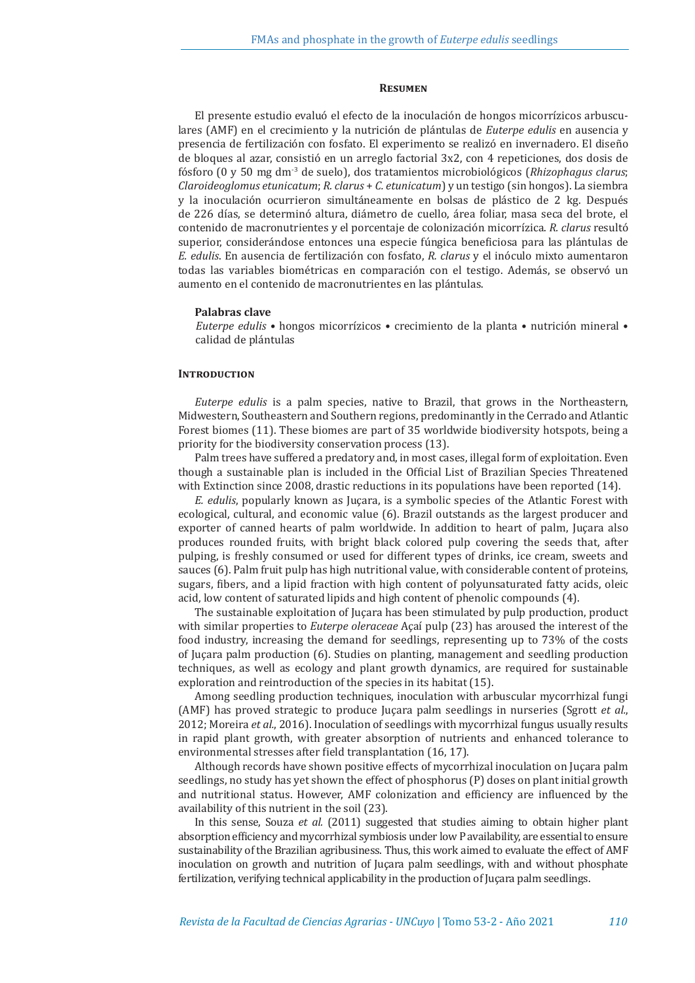#### **Resumen**

El presente estudio evaluó el efecto de la inoculación de hongos micorrízicos arbusculares (AMF) en el crecimiento y la nutrición de plántulas de *Euterpe edulis* en ausencia y presencia de fertilización con fosfato. El experimento se realizó en invernadero. El diseño de bloques al azar, consistió en un arreglo factorial 3x2, con 4 repeticiones, dos dosis de fósforo (0 y 50 mg dm-3 de suelo), dos tratamientos microbiológicos (*Rhizophagus clarus*; *Claroideoglomus etunicatum*; *R. clarus* + *C. etunicatum*) y un testigo (sin hongos). La siembra y la inoculación ocurrieron simultáneamente en bolsas de plástico de 2 kg. Después de 226 días, se determinó altura, diámetro de cuello, área foliar, masa seca del brote, el contenido de macronutrientes y el porcentaje de colonización micorrízica. *R. clarus* resultó superior, considerándose entonces una especie fúngica beneficiosa para las plántulas de *E. edulis*. En ausencia de fertilización con fosfato, *R. clarus* y el inóculo mixto aumentaron todas las variables biométricas en comparación con el testigo. Además, se observó un aumento en el contenido de macronutrientes en las plántulas.

#### **Palabras clave**

*Euterpe edulis •* hongos micorrízicos • crecimiento de la planta • nutrición mineral • calidad de plántulas

#### **INTRODUCTION**

*Euterpe edulis* is a palm species, native to Brazil, that grows in the Northeastern, Midwestern, Southeastern and Southern regions, predominantly in the Cerrado and Atlantic Forest biomes (11). These biomes are part of 35 worldwide biodiversity hotspots, being a priority for the biodiversity conservation process (13).

Palm trees have suffered a predatory and, in most cases, illegal form of exploitation. Even though a sustainable plan is included in the Official List of Brazilian Species Threatened with Extinction since 2008, drastic reductions in its populations have been reported (14).

*E. edulis*, popularly known as Juçara, is a symbolic species of the Atlantic Forest with ecological, cultural, and economic value (6). Brazil outstands as the largest producer and exporter of canned hearts of palm worldwide. In addition to heart of palm, Juçara also produces rounded fruits, with bright black colored pulp covering the seeds that, after pulping, is freshly consumed or used for different types of drinks, ice cream, sweets and sauces (6). Palm fruit pulp has high nutritional value, with considerable content of proteins, sugars, fibers, and a lipid fraction with high content of polyunsaturated fatty acids, oleic acid, low content of saturated lipids and high content of phenolic compounds (4).

The sustainable exploitation of Juçara has been stimulated by pulp production, product with similar properties to *Euterpe oleraceae* Açaí pulp (23) has aroused the interest of the food industry, increasing the demand for seedlings, representing up to 73% of the costs of Juçara palm production (6). Studies on planting, management and seedling production techniques, as well as ecology and plant growth dynamics, are required for sustainable exploration and reintroduction of the species in its habitat (15).

Among seedling production techniques, inoculation with arbuscular mycorrhizal fungi (AMF) has proved strategic to produce Juçara palm seedlings in nurseries (Sgrott *et al.*, 2012; Moreira *et al.*, 2016). Inoculation of seedlings with mycorrhizal fungus usually results in rapid plant growth, with greater absorption of nutrients and enhanced tolerance to environmental stresses after field transplantation (16, 17).

Although records have shown positive effects of mycorrhizal inoculation on Juçara palm seedlings, no study has yet shown the effect of phosphorus (P) doses on plant initial growth and nutritional status. However, AMF colonization and efficiency are influenced by the availability of this nutrient in the soil (23).

In this sense, Souza *et al.* (2011) suggested that studies aiming to obtain higher plant absorption efficiency and mycorrhizal symbiosis under low P availability, are essential to ensure sustainability of the Brazilian agribusiness. Thus, this work aimed to evaluate the effect of AMF inoculation on growth and nutrition of Juçara palm seedlings, with and without phosphate fertilization, verifying technical applicability in the production of Juçara palm seedlings.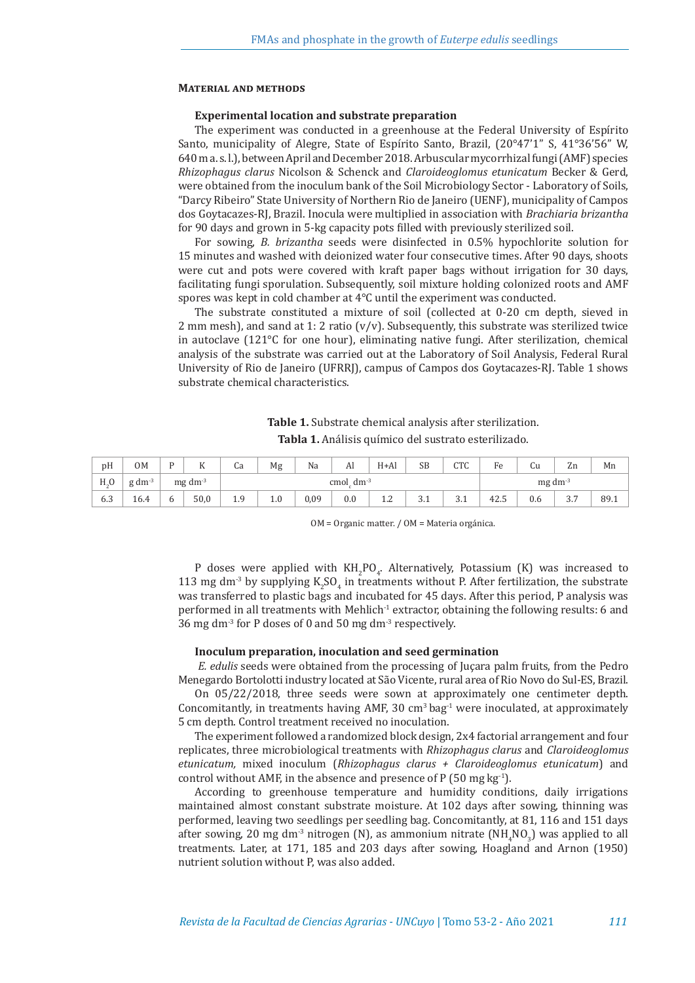#### **Material and methods**

#### **Experimental location and substrate preparation**

The experiment was conducted in a greenhouse at the Federal University of Espírito Santo, municipality of Alegre, State of Espírito Santo, Brazil, (20°47'1" S, 41°36'56" W, 640 m a. s. l.), between April and December 2018. Arbuscular mycorrhizal fungi (AMF) species *Rhizophagus clarus* Nicolson & Schenck and *Claroideoglomus etunicatum* Becker & Gerd, were obtained from the inoculum bank of the Soil Microbiology Sector - Laboratory of Soils, "Darcy Ribeiro" State University of Northern Rio de Janeiro (UENF), municipality of Campos dos Goytacazes-RJ, Brazil. Inocula were multiplied in association with *Brachiaria brizantha* for 90 days and grown in 5-kg capacity pots filled with previously sterilized soil.

For sowing, *B. brizantha* seeds were disinfected in 0.5% hypochlorite solution for 15 minutes and washed with deionized water four consecutive times. After 90 days, shoots were cut and pots were covered with kraft paper bags without irrigation for 30 days, facilitating fungi sporulation. Subsequently, soil mixture holding colonized roots and AMF spores was kept in cold chamber at 4°C until the experiment was conducted.

The substrate constituted a mixture of soil (collected at 0-20 cm depth, sieved in 2 mm mesh), and sand at 1: 2 ratio  $(v/v)$ . Subsequently, this substrate was sterilized twice in autoclave (121°C for one hour), eliminating native fungi. After sterilization, chemical analysis of the substrate was carried out at the Laboratory of Soil Analysis, Federal Rural University of Rio de Janeiro (UFRRJ), campus of Campos dos Goytacazes-RJ. Table 1 shows substrate chemical characteristics.

### **Table 1.** Substrate chemical analysis after sterilization. **Tabla 1.** Análisis químico del sustrato esterilizado.

| pH     | 0 <sub>M</sub> | D | $\mathbf{v}$<br>л | Cа            | Mg             | Na   | Al  | $H + Al$                 | SB  | <b>CTC</b>      | Fe   | $\sqrt{2}$<br>Cu | $\sim$<br>Zn       | Mn   |
|--------|----------------|---|-------------------|---------------|----------------|------|-----|--------------------------|-----|-----------------|------|------------------|--------------------|------|
| $Ha$ O | $g \, dm^{-3}$ |   | $mg \, dm^{-3}$   |               | cmol $dm^{-3}$ |      |     |                          |     | $mg \, dm^{-3}$ |      |                  |                    |      |
| 6.3    | 16.4           | b | 50,0              | $\alpha$<br>ᆦ | 1.0            | 0,09 | 0.0 | $\sqrt{2}$<br><b>1.L</b> | J.L | J.I             | 42.5 | 0.6              | $\sim$ $\sim$<br>. | 89.1 |

OM = Organic matter. / OM = Materia orgánica.

P doses were applied with  $KH_{2}PO_{4}$ . Alternatively, Potassium (K) was increased to 113 mg dm<sup>-3</sup> by supplying  $K_2SO_4$  in treatments without P. After fertilization, the substrate was transferred to plastic bags and incubated for 45 days. After this period, P analysis was performed in all treatments with Mehlich<sup>-1</sup> extractor, obtaining the following results: 6 and 36 mg dm-3 for P doses of 0 and 50 mg dm-3 respectively.

#### **Inoculum preparation, inoculation and seed germination**

*E. edulis* seeds were obtained from the processing of Juçara palm fruits, from the Pedro Menegardo Bortolotti industry located at São Vicente, rural area of Rio Novo do Sul-ES, Brazil.

On 05/22/2018, three seeds were sown at approximately one centimeter depth. Concomitantly, in treatments having AMF, 30  $cm<sup>3</sup>$  bag<sup>-1</sup> were inoculated, at approximately 5 cm depth. Control treatment received no inoculation.

The experiment followed a randomized block design, 2x4 factorial arrangement and four replicates, three microbiological treatments with *Rhizophagus clarus* and *Claroideoglomus etunicatum,* mixed inoculum (*Rhizophagus clarus + Claroideoglomus etunicatum*) and control without AMF, in the absence and presence of  $P(50 \text{ mg kg}^{-1})$ .

According to greenhouse temperature and humidity conditions, daily irrigations maintained almost constant substrate moisture. At 102 days after sowing, thinning was performed, leaving two seedlings per seedling bag. Concomitantly, at 81, 116 and 151 days after sowing, 20 mg dm<sup>-3</sup> nitrogen (N), as ammonium nitrate (NH<sub>4</sub>NO<sub>3</sub>) was applied to all treatments. Later, at 171, 185 and 203 days after sowing, Hoagland and Arnon (1950) nutrient solution without P, was also added.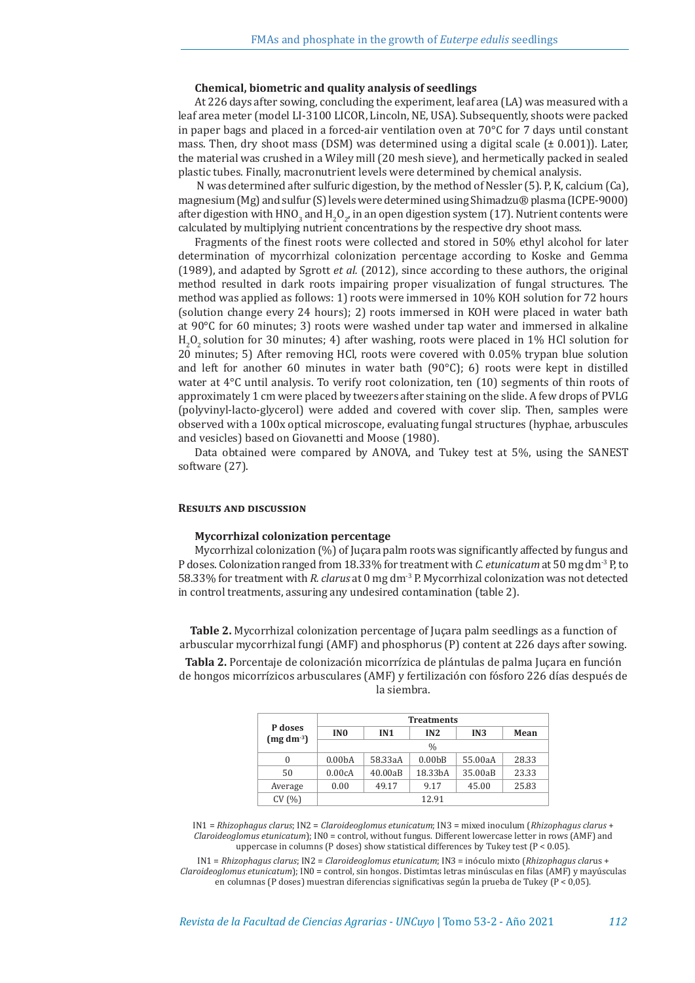#### **Chemical, biometric and quality analysis of seedlings**

At 226 days after sowing, concluding the experiment, leaf area (LA) was measured with a leaf area meter (model LI-3100 LICOR, Lincoln, NE, USA). Subsequently, shoots were packed in paper bags and placed in a forced-air ventilation oven at  $70^{\circ}$ C for 7 days until constant mass. Then, dry shoot mass (DSM) was determined using a digital scale ( $\pm$  0.001)). Later, the material was crushed in a Wiley mill (20 mesh sieve), and hermetically packed in sealed plastic tubes. Finally, macronutrient levels were determined by chemical analysis.

 N was determined after sulfuric digestion, by the method of Nessler (5). P, K, calcium (Ca), magnesium (Mg) and sulfur (S) levels were determined using Shimadzu® plasma (ICPE-9000) after digestion with  $\text{HNO}_3$  and  $\text{H}_2\text{O}_2$ , in an open digestion system (17). Nutrient contents were calculated by multiplying nutrient concentrations by the respective dry shoot mass.

Fragments of the finest roots were collected and stored in 50% ethyl alcohol for later determination of mycorrhizal colonization percentage according to Koske and Gemma (1989), and adapted by Sgrott *et al.* (2012), since according to these authors, the original method resulted in dark roots impairing proper visualization of fungal structures. The method was applied as follows: 1) roots were immersed in 10% KOH solution for 72 hours (solution change every 24 hours); 2) roots immersed in KOH were placed in water bath at 90°C for 60 minutes; 3) roots were washed under tap water and immersed in alkaline  $H_2O_2$  solution for 30 minutes; 4) after washing, roots were placed in 1% HCl solution for 20 minutes; 5) After removing HCl, roots were covered with 0.05% trypan blue solution and left for another 60 minutes in water bath  $(90^{\circ}C)$ ; 6) roots were kept in distilled water at 4°C until analysis. To verify root colonization, ten (10) segments of thin roots of approximately 1 cm were placed by tweezers after staining on the slide. A few drops of PVLG (polyvinyl-lacto-glycerol) were added and covered with cover slip. Then, samples were observed with a 100x optical microscope, evaluating fungal structures (hyphae, arbuscules and vesicles) based on Giovanetti and Moose (1980).

Data obtained were compared by ANOVA, and Tukey test at 5%, using the SANEST software (27).

#### **Results and discussion**

#### **Mycorrhizal colonization percentage**

Mycorrhizal colonization (%) of Juçara palm roots was significantly affected by fungus and P doses. Colonization ranged from 18.33% for treatment with *C. etunicatum* at 50 mg dm<sup>-3</sup> P, to 58.33% for treatment with *R. clarus* at 0 mg dm-3 P. Mycorrhizal colonization was not detected in control treatments, assuring any undesired contamination (table 2).

**Table 2.** Mycorrhizal colonization percentage of Juçara palm seedlings as a function of arbuscular mycorrhizal fungi (AMF) and phosphorus (P) content at 226 days after sowing.

**Tabla 2.** Porcentaje de colonización micorrízica de plántulas de palma Juçara en función de hongos micorrízicos arbusculares (AMF) y fertilización con fósforo 226 días después de la siembra.

|                        | <b>Treatments</b>   |                        |                      |         |       |  |  |  |  |  |
|------------------------|---------------------|------------------------|----------------------|---------|-------|--|--|--|--|--|
| P doses<br>$(mg dm-3)$ | IN <sub>0</sub>     | IN2<br>IN <sub>1</sub> |                      | IN3     | Mean  |  |  |  |  |  |
|                        | $\frac{0}{0}$       |                        |                      |         |       |  |  |  |  |  |
| $\theta$               | 0.00 <sub>b</sub> A | 58.33aA                | 0.00 <sub>b</sub> B  | 55.00aA | 28.33 |  |  |  |  |  |
| 50                     | 0.00cA              | 40.00aB                | 18.33 <sub>b</sub> A | 35.00aB | 23.33 |  |  |  |  |  |
| Average                | 0.00<br>49.17       |                        | 9.17                 | 45.00   | 25.83 |  |  |  |  |  |
| CV(%)                  | 12.91               |                        |                      |         |       |  |  |  |  |  |

IN1 = *Rhizophagus clarus*; IN2 = *Claroideoglomus etunicatum*; IN3 = mixed inoculum (*Rhizophagus clarus* + *Claroideoglomus etunicatum*); IN0 = control, without fungus. Different lowercase letter in rows (AMF) and uppercase in columns (P doses) show statistical differences by Tukey test (P < 0.05).

IN1 = *Rhizophagus clarus*; IN2 = *Claroideoglomus etunicatum*; IN3 = inóculo mixto (*Rhizophagus clar*us + *Claroideoglomus etunicatum*); IN0 = control, sin hongos. Distimtas letras minúsculas en filas (AMF) y mayúsculas en columnas (P doses) muestran diferencias significativas según la prueba de Tukey (P < 0,05).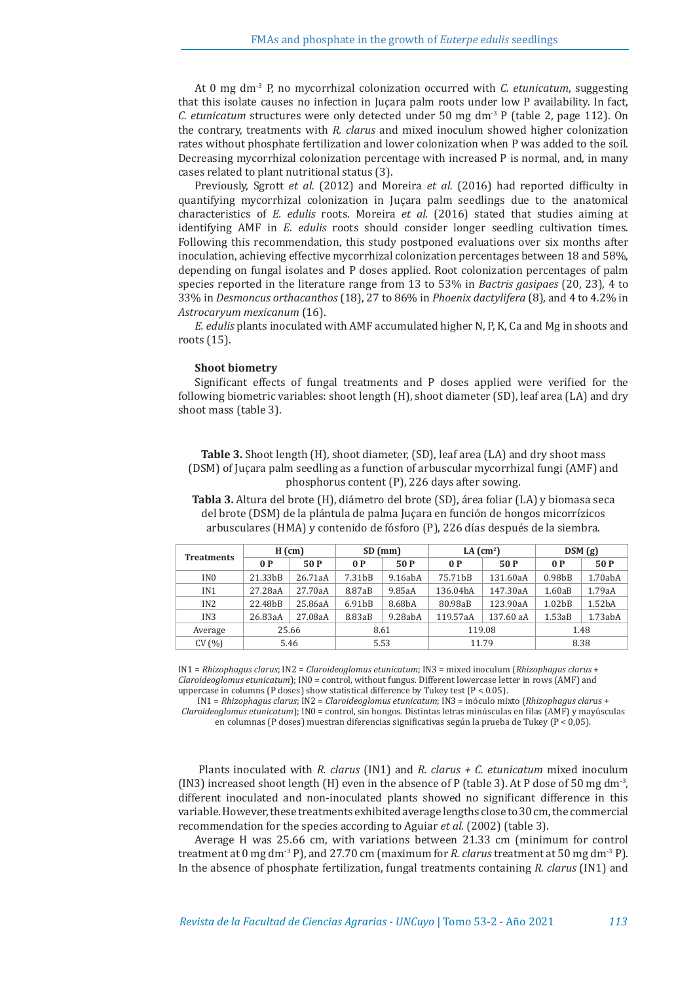At 0 mg dm-3 P, no mycorrhizal colonization occurred with *C. etunicatum*, suggesting that this isolate causes no infection in Juçara palm roots under low P availability. In fact, *C. etunicatum* structures were only detected under 50 mg dm-3 P (table 2, page 112). On the contrary, treatments with *R. clarus* and mixed inoculum showed higher colonization rates without phosphate fertilization and lower colonization when P was added to the soil. Decreasing mycorrhizal colonization percentage with increased P is normal, and, in many cases related to plant nutritional status (3).

Previously, Sgrott *et al.* (2012) and Moreira *et al.* (2016) had reported difficulty in quantifying mycorrhizal colonization in Juçara palm seedlings due to the anatomical characteristics of *E. edulis* roots. Moreira *et al.* (2016) stated that studies aiming at identifying AMF in *E. edulis* roots should consider longer seedling cultivation times. Following this recommendation, this study postponed evaluations over six months after inoculation, achieving effective mycorrhizal colonization percentages between 18 and 58%, depending on fungal isolates and P doses applied. Root colonization percentages of palm species reported in the literature range from 13 to 53% in *Bactris gasipaes* (20, 23), 4 to 33% in *Desmoncus orthacanthos* (18), 27 to 86% in *Phoenix dactylifera* (8), and 4 to 4.2% in *Astrocaryum mexicanum* (16).

*E. edulis* plants inoculated with AMF accumulated higher N, P, K, Ca and Mg in shoots and roots (15).

#### **Shoot biometry**

Significant effects of fungal treatments and P doses applied were verified for the following biometric variables: shoot length (H), shoot diameter (SD), leaf area (LA) and dry shoot mass (table 3).

**Table 3.** Shoot length (H), shoot diameter, (SD), leaf area (LA) and dry shoot mass (DSM) of Juçara palm seedling as a function of arbuscular mycorrhizal fungi (AMF) and phosphorus content (P), 226 days after sowing.

**Tabla 3.** Altura del brote (H), diámetro del brote (SD), área foliar (LA) y biomasa seca del brote (DSM) de la plántula de palma Juçara en función de hongos micorrízicos arbusculares (HMA) y contenido de fósforo (P), 226 días después de la siembra.

|                   | $H$ (cm) |         | $SD$ (mm) |         |          | LA $\text{(cm}^2)$ | DSM(g)              |                    |
|-------------------|----------|---------|-----------|---------|----------|--------------------|---------------------|--------------------|
| <b>Treatments</b> | 0P       | 50 P    | 0P        | 50 P    | 0P       | 50 P               | 0P                  | 50 P               |
| IN <sub>0</sub>   | 21.33bB  | 26.71aA | 7.31bB    | 9.16abA | 75.71bB  | 131.60aA           | 0.98 <sub>bB</sub>  | 1.70abA            |
| IN1               | 27.28aA  | 27.70aA | 8.87aB    | 9.85aA  | 136.04bA | 147.30aA           | 1.60aB              | 1.79aA             |
| IN2               | 22.48bB  | 25.86aA | 6.91bB    | 8.68bA  | 80.98aB  | 123.90aA           | 1.02 <sub>b</sub> B | 1.52 <sub>bA</sub> |
| IN <sub>3</sub>   | 26.83aA  | 27.08aA | 8.83aB    | 9.28abA | 119.57aA | 137.60 aA          | 1.53aB              | 1.73abA            |
| Average           | 25.66    |         | 8.61      |         | 119.08   |                    | 1.48                |                    |
| CV(%)             | 5.46     |         | 5.53      |         | 11.79    |                    | 8.38                |                    |

IN1 = *Rhizophagus clarus*; IN2 = *Claroideoglomus etunicatum*; IN3 = mixed inoculum (*Rhizophagus clarus* + *Claroideoglomus etunicatum*); IN0 = control, without fungus. Different lowercase letter in rows (AMF) and uppercase in columns (P doses) show statistical difference by Tukey test (P < 0.05).

IN1 = *Rhizophagus clarus*; IN2 = *Claroideoglomus etunicatum*; IN3 = inóculo mixto (*Rhizophagus clar*us + *Claroideoglomus etunicatum*); IN0 = control, sin hongos. Distintas letras minúsculas en filas (AMF) y mayúsculas en columnas (P doses) muestran diferencias significativas según la prueba de Tukey (P < 0,05).

Plants inoculated with *R. clarus* (IN1) and *R. clarus + C. etunicatum* mixed inoculum (IN3) increased shoot length (H) even in the absence of P (table 3). At P dose of 50 mg dm<sup>-3</sup>, different inoculated and non-inoculated plants showed no significant difference in this variable. However, these treatments exhibited average lengths close to 30 cm, the commercial recommendation for the species according to Aguiar *et al.* (2002) (table 3).

Average H was 25.66 cm, with variations between 21.33 cm (minimum for control treatment at 0 mg dm-3 P), and 27.70 cm (maximum for *R. clarus* treatment at 50 mg dm-3 P). In the absence of phosphate fertilization, fungal treatments containing *R. clarus* (IN1) and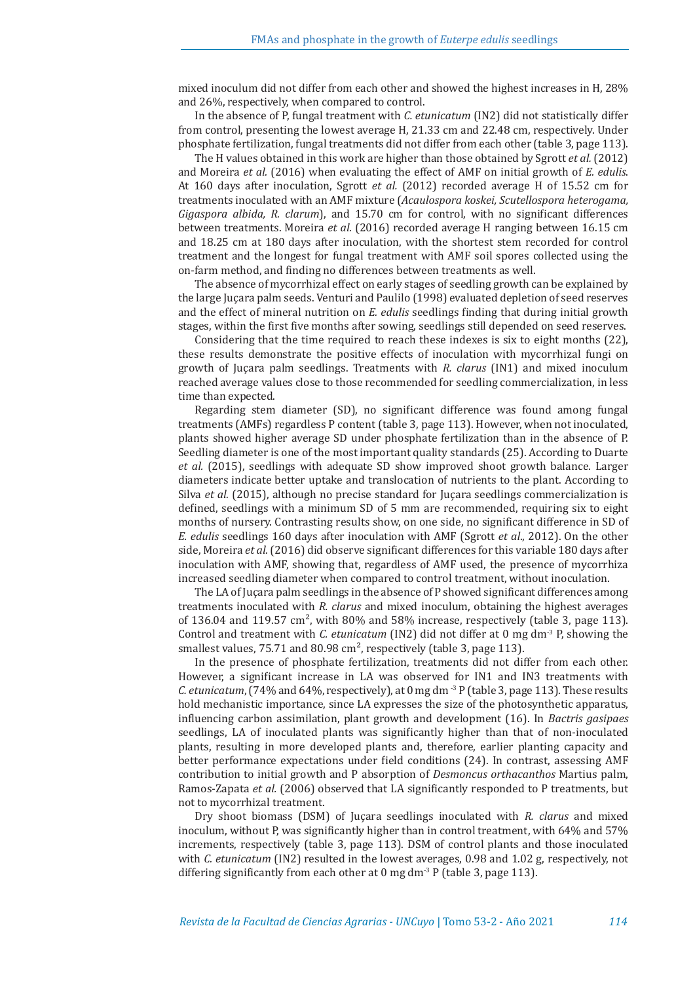mixed inoculum did not differ from each other and showed the highest increases in H, 28% and 26%, respectively, when compared to control.

In the absence of P, fungal treatment with *C. etunicatum* (IN2) did not statistically differ from control, presenting the lowest average H, 21.33 cm and 22.48 cm, respectively. Under phosphate fertilization, fungal treatments did not differ from each other (table 3, page 113).

The H values obtained in this work are higher than those obtained by Sgrott *et al.* (2012) and Moreira *et al.* (2016) when evaluating the effect of AMF on initial growth of *E. edulis*. At 160 days after inoculation, Sgrott *et al.* (2012) recorded average H of 15.52 cm for treatments inoculated with an AMF mixture (*Acaulospora koskei, Scutellospora heterogama, Gigaspora albida, R. clarum*), and 15.70 cm for control, with no significant differences between treatments. Moreira *et al.* (2016) recorded average H ranging between 16.15 cm and 18.25 cm at 180 days after inoculation, with the shortest stem recorded for control treatment and the longest for fungal treatment with AMF soil spores collected using the on-farm method, and finding no differences between treatments as well.

The absence of mycorrhizal effect on early stages of seedling growth can be explained by the large Juçara palm seeds. Venturi and Paulilo (1998) evaluated depletion of seed reserves and the effect of mineral nutrition on *E. edulis* seedlings finding that during initial growth stages, within the first five months after sowing, seedlings still depended on seed reserves.

Considering that the time required to reach these indexes is six to eight months (22), these results demonstrate the positive effects of inoculation with mycorrhizal fungi on growth of Juçara palm seedlings. Treatments with *R. clarus* (IN1) and mixed inoculum reached average values close to those recommended for seedling commercialization, in less time than expected.

Regarding stem diameter (SD), no significant difference was found among fungal treatments (AMFs) regardless P content (table 3, page 113). However, when not inoculated, plants showed higher average SD under phosphate fertilization than in the absence of P. Seedling diameter is one of the most important quality standards (25). According to Duarte *et al.* (2015), seedlings with adequate SD show improved shoot growth balance. Larger diameters indicate better uptake and translocation of nutrients to the plant. According to Silva *et al.* (2015), although no precise standard for Juçara seedlings commercialization is defined, seedlings with a minimum SD of 5 mm are recommended, requiring six to eight months of nursery. Contrasting results show, on one side, no significant difference in SD of *E. edulis* seedlings 160 days after inoculation with AMF (Sgrott *et al*., 2012). On the other side, Moreira *et al.* (2016) did observe significant differences for this variable 180 days after inoculation with AMF, showing that, regardless of AMF used, the presence of mycorrhiza increased seedling diameter when compared to control treatment, without inoculation.

The LA of Juçara palm seedlings in the absence of P showed significant differences among treatments inoculated with *R. clarus* and mixed inoculum, obtaining the highest averages of 136.04 and 119.57 cm<sup>2</sup>, with 80% and 58% increase, respectively (table 3, page 113). Control and treatment with *C. etunicatum* (IN2) did not differ at 0 mg dm-3 P, showing the smallest values, 75.71 and 80.98  $\text{cm}^2$ , respectively (table 3, page 113).

In the presence of phosphate fertilization, treatments did not differ from each other. However, a significant increase in LA was observed for IN1 and IN3 treatments with *C. etunicatum*, (74% and 64%, respectively), at 0 mg dm -3 P (table 3, page 113). These results hold mechanistic importance, since LA expresses the size of the photosynthetic apparatus, influencing carbon assimilation, plant growth and development (16). In *Bactris gasipaes*  seedlings, LA of inoculated plants was significantly higher than that of non-inoculated plants, resulting in more developed plants and, therefore, earlier planting capacity and better performance expectations under field conditions (24). In contrast, assessing AMF contribution to initial growth and P absorption of *Desmoncus orthacanthos* Martius palm, Ramos-Zapata *et al.* (2006) observed that LA significantly responded to P treatments, but not to mycorrhizal treatment.

Dry shoot biomass (DSM) of Juçara seedlings inoculated with *R. clarus* and mixed inoculum, without P, was significantly higher than in control treatment, with 64% and 57% increments, respectively (table 3, page 113). DSM of control plants and those inoculated with *C. etunicatum* (IN2) resulted in the lowest averages, 0.98 and 1.02 g, respectively, not differing significantly from each other at 0 mg dm<sup>-3</sup> P (table 3, page 113).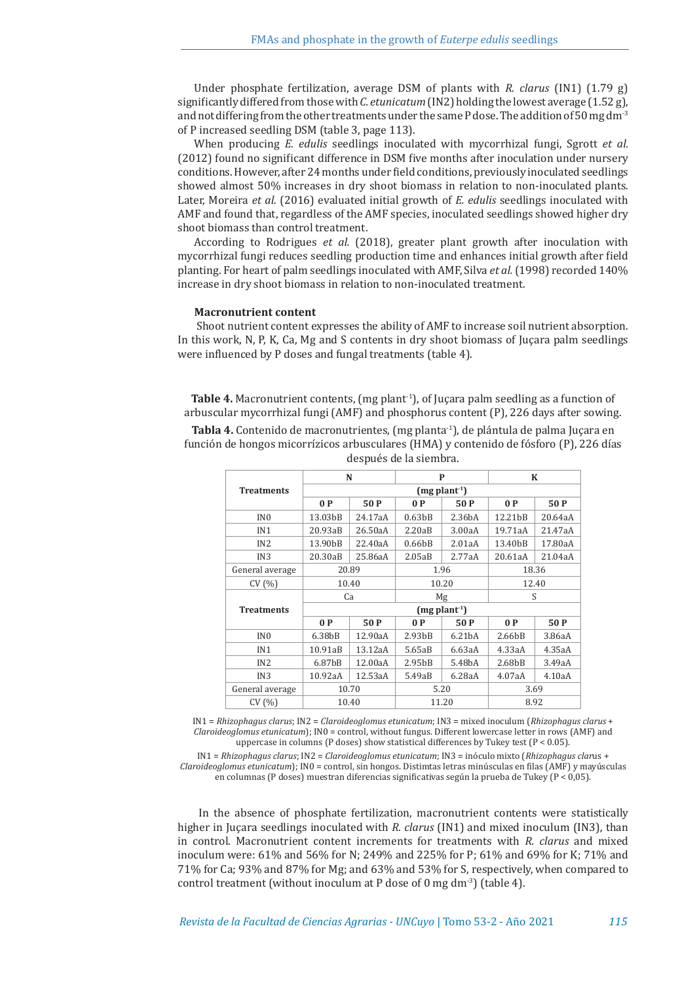Under phosphate fertilization, average DSM of plants with *R. clarus* (IN1) (1.79 g) significantly differed from those with *C. etunicatum* (IN2) holding the lowest average (1.52 g), and not differing from the other treatments under the same P dose. The addition of 50 mg dm<sup>-3</sup> of P increased seedling DSM (table 3, page 113).

When producing *E. edulis* seedlings inoculated with mycorrhizal fungi, Sgrott *et al.* (2012) found no significant difference in DSM five months after inoculation under nursery conditions. However, after 24 months under field conditions, previously inoculated seedlings showed almost 50% increases in dry shoot biomass in relation to non-inoculated plants. Later, Moreira *et al.* (2016) evaluated initial growth of *E. edulis* seedlings inoculated with AMF and found that, regardless of the AMF species, inoculated seedlings showed higher dry shoot biomass than control treatment.

According to Rodrigues *et al.* (2018), greater plant growth after inoculation with mycorrhizal fungi reduces seedling production time and enhances initial growth after field planting. For heart of palm seedlings inoculated with AMF, Silva *et al.* (1998) recorded 140% increase in dry shoot biomass in relation to non-inoculated treatment.

#### **Macronutrient content**

 Shoot nutrient content expresses the ability of AMF to increase soil nutrient absorption. In this work, N, P, K, Ca, Mg and S contents in dry shoot biomass of Juçara palm seedlings were influenced by P doses and fungal treatments (table 4).

**Table 4.** Macronutrient contents, (mg plant<sup>-1</sup>), of Juçara palm seedling as a function of arbuscular mycorrhizal fungi (AMF) and phosphorus content (P), 226 days after sowing.

Tabla 4. Contenido de macronutrientes, (mg planta<sup>-1</sup>), de plántula de palma Juçara en función de hongos micorrízicos arbusculares (HMA) y contenido de fósforo (P), 226 días

|                   |                             | N       |                     | P                  | $\bf K$             |         |  |  |  |
|-------------------|-----------------------------|---------|---------------------|--------------------|---------------------|---------|--|--|--|
| <b>Treatments</b> | $(mg$ plant <sup>-1</sup> ) |         |                     |                    |                     |         |  |  |  |
|                   | 0P                          | 50 P    | 0P                  | 50 P               | 0 P                 | 50 P    |  |  |  |
| IN <sub>0</sub>   | 13.03bB                     | 24.17aA | 0.63 <sub>bB</sub>  | 2.36bA             | 12.21bB             | 20.64aA |  |  |  |
| IN1               | 20.93aB                     | 26.50aA | 2.20aB              | 3.00aA             | 19.71aA             | 21.47aA |  |  |  |
| IN <sub>2</sub>   | 13.90bB                     | 22.40aA | 0.66bB              | 2.01aA             | 13.40bB             | 17.80aA |  |  |  |
| IN <sub>3</sub>   | 20.30aB                     | 25.86aA | 2.05aB              | 2.77aA             | 20.61aA             | 21.04aA |  |  |  |
| General average   | 20.89                       |         | 1.96                |                    | 18.36               |         |  |  |  |
| CV(%)             | 10.40                       |         | 10.20               |                    | 12.40               |         |  |  |  |
|                   |                             | Ca      | Mg                  |                    | S                   |         |  |  |  |
| <b>Treatments</b> | $(mg$ plant <sup>-1</sup> ) |         |                     |                    |                     |         |  |  |  |
|                   | 0P                          | 50 P    | 0P                  | 50 P               | 0P                  | 50 P    |  |  |  |
| IN <sub>0</sub>   | 6.38bB                      | 12.90aA | 2.93 <sub>bB</sub>  | 6.21 <sub>bA</sub> | 2.66bB              | 3.86aA  |  |  |  |
| IN1               | 10.91aB                     | 13.12aA | 5.65aB              | 6.63aA             | 4.33aA              | 4.35aA  |  |  |  |
| IN <sub>2</sub>   | 6.87bB                      | 12.00aA | 2.95 <sub>b</sub> B | 5.48bA             | 2.68 <sub>b</sub> B | 3.49aA  |  |  |  |
| IN <sub>3</sub>   | 10.92aA                     | 12.53aA | 5.49aB              | 6.28aA             | 4.07aA              | 4.10aA  |  |  |  |
| General average   | 10.70                       |         |                     | 5.20               | 3.69                |         |  |  |  |
| CV(%)             | 10.40                       |         |                     | 11.20              | 8.92                |         |  |  |  |

después de la siembra.

IN1 = *Rhizophagus clarus*; IN2 = *Claroideoglomus etunicatum*; IN3 = mixed inoculum (*Rhizophagus clarus* + *Claroideoglomus etunicatum*); IN0 = control, without fungus. Different lowercase letter in rows (AMF) and uppercase in columns (P doses) show statistical differences by Tukey test (P < 0.05).

IN1 = *Rhizophagus clarus*; IN2 = *Claroideoglomus etunicatum*; IN3 = inóculo mixto (*Rhizophagus clar*us + *Claroideoglomus etunicatum*); IN0 = control, sin hongos. Distimtas letras minúsculas en filas (AMF) y mayúsculas en columnas (P doses) muestran diferencias significativas según la prueba de Tukey (P < 0,05).

In the absence of phosphate fertilization, macronutrient contents were statistically higher in Juçara seedlings inoculated with *R. clarus* (IN1) and mixed inoculum (IN3), than in control. Macronutrient content increments for treatments with *R. clarus* and mixed inoculum were: 61% and 56% for N; 249% and 225% for P; 61% and 69% for K; 71% and 71% for Ca; 93% and 87% for Mg; and 63% and 53% for S, respectively, when compared to control treatment (without inoculum at P dose of 0 mg dm<sup>-3</sup>) (table 4).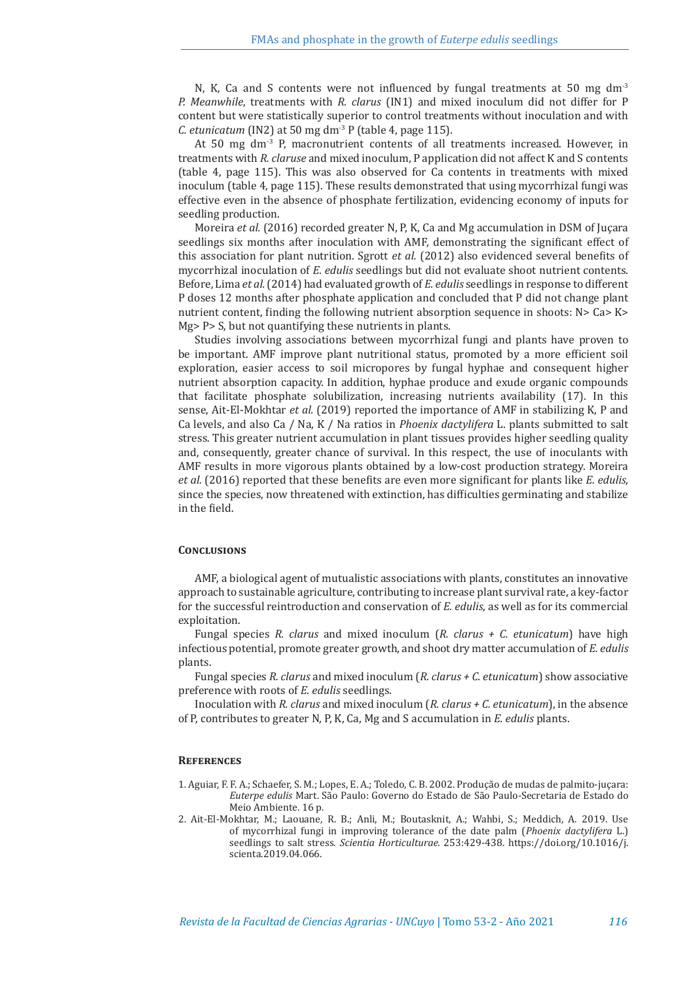N, K, Ca and S contents were not influenced by fungal treatments at 50 mg dm<sup>-3</sup> *P. Meanwhile*, treatments with *R. clarus* (IN1) and mixed inoculum did not differ for P content but were statistically superior to control treatments without inoculation and with *C. etunicatum* (IN2) at 50 mg dm-3 P (table 4, page 115).

At 50 mg  $dm<sup>3</sup>$  P, macronutrient contents of all treatments increased. However, in treatments with *R. claruse* and mixed inoculum, P application did not affect K and S contents (table 4, page 115). This was also observed for Ca contents in treatments with mixed inoculum (table 4, page 115). These results demonstrated that using mycorrhizal fungi was effective even in the absence of phosphate fertilization, evidencing economy of inputs for seedling production.

Moreira *et al.* (2016) recorded greater N, P, K, Ca and Mg accumulation in DSM of Juçara seedlings six months after inoculation with AMF, demonstrating the significant effect of this association for plant nutrition. Sgrott *et al.* (2012) also evidenced several benefits of mycorrhizal inoculation of *E. edulis* seedlings but did not evaluate shoot nutrient contents. Before, Lima *et al.* (2014) had evaluated growth of *E. edulis* seedlings in response to different P doses 12 months after phosphate application and concluded that P did not change plant nutrient content, finding the following nutrient absorption sequence in shoots: N> Ca> K> Mg> P> S, but not quantifying these nutrients in plants.

Studies involving associations between mycorrhizal fungi and plants have proven to be important. AMF improve plant nutritional status, promoted by a more efficient soil exploration, easier access to soil micropores by fungal hyphae and consequent higher nutrient absorption capacity. In addition, hyphae produce and exude organic compounds that facilitate phosphate solubilization, increasing nutrients availability (17). In this sense, Ait-El-Mokhtar *et al.* (2019) reported the importance of AMF in stabilizing K, P and Ca levels, and also Ca / Na, K / Na ratios in *Phoenix dactylifera* L. plants submitted to salt stress. This greater nutrient accumulation in plant tissues provides higher seedling quality and, consequently, greater chance of survival. In this respect, the use of inoculants with AMF results in more vigorous plants obtained by a low-cost production strategy. Moreira *et al.* (2016) reported that these benefits are even more significant for plants like *E. edulis*, since the species, now threatened with extinction, has difficulties germinating and stabilize in the field.

#### **Conclusions**

AMF, a biological agent of mutualistic associations with plants, constitutes an innovative approach to sustainable agriculture, contributing to increase plant survival rate, a key-factor for the successful reintroduction and conservation of *E. edulis*, as well as for its commercial exploitation.

Fungal species *R. clarus* and mixed inoculum (*R. clarus + C. etunicatum*) have high infectious potential, promote greater growth, and shoot dry matter accumulation of *E. edulis* plants.

Fungal species *R. clarus* and mixed inoculum (*R. clarus + C. etunicatum*) show associative preference with roots of *E. edulis* seedlings.

Inoculation with *R. clarus* and mixed inoculum (*R. clarus + C. etunicatum*), in the absence of P, contributes to greater N, P, K, Ca, Mg and S accumulation in *E. edulis* plants.

#### **References**

- 1. Aguiar, F. F. A.; Schaefer, S. M.; Lopes, E. A.; Toledo, C. B. 2002. Produção de mudas de palmito-juçara: *Euterpe edulis* Mart. São Paulo: Governo do Estado de São Paulo-Secretaria de Estado do Meio Ambiente. 16 p.
- 2. Ait-El-Mokhtar, M.; Laouane, R. B.; Anli, M.; Boutasknit, A.; Wahbi, S.; Meddich, A. 2019. Use of mycorrhizal fungi in improving tolerance of the date palm (*Phoenix dactylifera* L.) seedlings to salt stress. *Scientia Horticulturae.* 253:429-438. https://doi.org/10.1016/j. scienta.2019.04.066.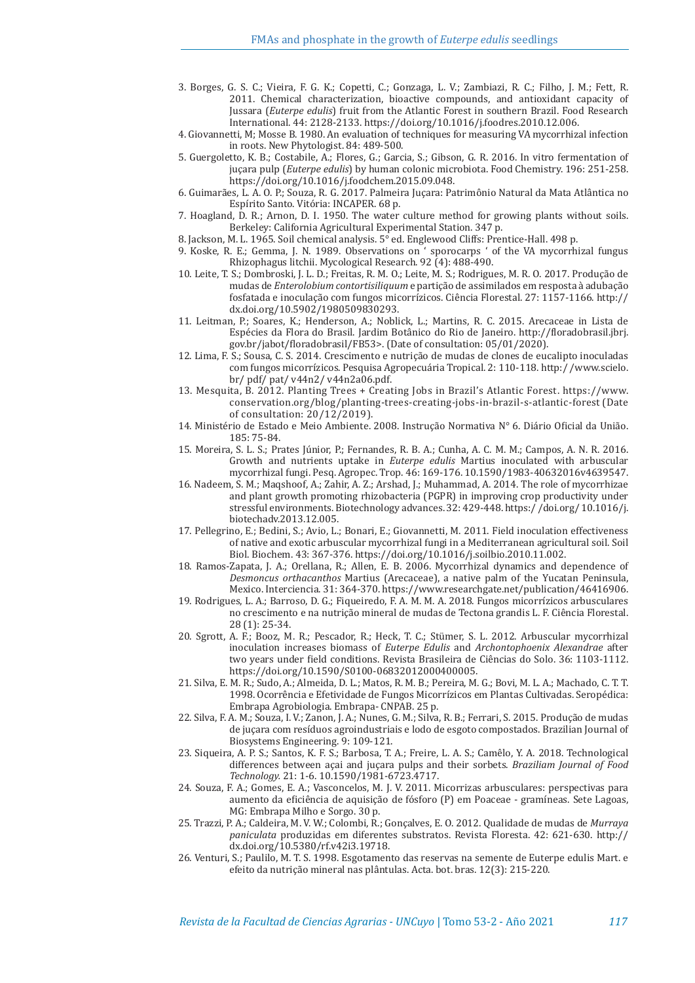- 3. Borges, G. S. C.; Vieira, F. G. K.; Copetti, C.; Gonzaga, L. V.; Zambiazi, R. C.; Filho, J. M.; Fett, R. 2011. Chemical characterization, bioactive compounds, and antioxidant capacity of Jussara (*Euterpe edulis*) fruit from the Atlantic Forest in southern Brazil. Food Research International. 44: 2128-2133. https://doi.org/10.1016/j.foodres.2010.12.006.
- 4. Giovannetti, M; Mosse B. 1980. An evaluation of techniques for measuring VA mycorrhizal infection in roots. New Phytologist. 84: 489-500.
- 5. Guergoletto, K. B.; Costabile, A.; Flores, G.; Garcia, S.; Gibson, G. R. 2016. In vitro fermentation of juçara pulp (*Euterpe edulis*) by human colonic microbiota. Food Chemistry. 196: 251-258. https://doi.org/10.1016/j.foodchem.2015.09.048.
- 6. Guimarães, L. A. O. P.; Souza, R. G. 2017. Palmeira Juçara: Patrimônio Natural da Mata Atlântica no Espírito Santo. Vitória: INCAPER. 68 p.
- 7. Hoagland, D. R.; Arnon, D. I. 1950. The water culture method for growing plants without soils. Berkeley: California Agricultural Experimental Station. 347 p.
- 8. Jackson, M. L. 1965. Soil chemical analysis. 5° ed. Englewood Cliffs: Prentice-Hall. 498 p.
- 9. Koske, R. E.; Gemma, J. N. 1989. Observations on ' sporocarps ' of the VA mycorrhizal fungus Rhizophagus litchii. Mycological Research. 92 (4): 488-490.
- 10. Leite, T. S.; Dombroski, J. L. D.; Freitas, R. M. O.; Leite, M. S.; Rodrigues, M. R. O. 2017. Produção de mudas de *Enterolobium contortisiliquum* e partição de assimilados em resposta à adubação fosfatada e inoculação com fungos micorrízicos. Ciência Florestal. 27: 1157-1166. http:// dx.doi.org/10.5902/1980509830293.
- 11. Leitman, P.; Soares, K.; Henderson, A.; Noblick, L.; Martins, R. C. 2015. Arecaceae in Lista de Espécies da Flora do Brasil. Jardim Botânico do Rio de Janeiro. http://floradobrasil.jbrj. gov.br/jabot/floradobrasil/FB53>. (Date of consultation: 05/01/2020).
- 12. Lima, F. S.; Sousa, C. S. 2014. Crescimento e nutrição de mudas de clones de eucalipto inoculadas com fungos micorrízicos. Pesquisa Agropecuária Tropical. 2: 110-118. http:/ /www.scielo. br/ pdf/ pat/ v44n2/ v44n2a06.pdf.
- 13. Mesquita, B. 2012. Planting Trees + Creating Jobs in Brazil's Atlantic Forest. https://www. conservation.org/blog/planting-trees-creating-jobs-in-brazil-s-atlantic-forest (Date of consultation: 20/12/2019).
- 14. Ministério de Estado e Meio Ambiente. 2008. Instrução Normativa N° 6. Diário Oficial da União. 185: 75-84.
- 15. Moreira, S. L. S.; Prates Júnior, P.; Fernandes, R. B. A.; Cunha, A. C. M. M.; Campos, A. N. R. 2016. Growth and nutrients uptake in *Euterpe edulis* Martius inoculated with arbuscular mycorrhizal fungi. Pesq. Agropec. Trop. 46: 169-176. 10.1590/1983-40632016v4639547.
- 16. Nadeem, S. M.; Maqshoof, A.; Zahir, A. Z.; Arshad, J.; Muhammad, A. 2014. The role of mycorrhizae and plant growth promoting rhizobacteria (PGPR) in improving crop productivity under stressful environments. Biotechnology advances. 32: 429-448. https:/ /doi.org/ 10.1016/j. biotechadv.2013.12.005.
- 17. Pellegrino, E.; Bedini, S.; Avio, L.; Bonari, E.; Giovannetti, M. 2011. Field inoculation effectiveness of native and exotic arbuscular mycorrhizal fungi in a Mediterranean agricultural soil. Soil Biol. Biochem. 43: 367-376. https://doi.org/10.1016/j.soilbio.2010.11.002.
- 18. Ramos-Zapata, J. A.; Orellana, R.; Allen, E. B. 2006. Mycorrhizal dynamics and dependence of *Desmoncus orthacanthos* Martius (Arecaceae), a native palm of the Yucatan Peninsula, Mexico. Interciencia. 31: 364-370. https://www.researchgate.net/publication/46416906.
- 19. Rodrigues, L. A.; Barroso, D. G.; Fiqueiredo, F. A. M. M. A. 2018. Fungos micorrízicos arbusculares no crescimento e na nutrição mineral de mudas de Tectona grandis L. F. Ciência Florestal. 28 (1): 25-34.
- 20. Sgrott, A. F.; Booz, M. R.; Pescador, R.; Heck, T. C.; Stümer, S. L. 2012. Arbuscular mycorrhizal inoculation increases biomass of *Euterpe Edulis* and *Archontophoenix Alexandrae* after two years under field conditions. Revista Brasileira de Ciências do Solo. 36: 1103-1112. https://doi.org/10.1590/S0100-06832012000400005.
- 21. Silva, E. M. R.; Sudo, A.; Almeida, D. L.; Matos, R. M. B.; Pereira, M. G.; Bovi, M. L. A.; Machado, C. T. T. 1998. Ocorrência e Efetividade de Fungos Micorrízicos em Plantas Cultivadas. Seropédica: Embrapa Agrobiologia. Embrapa- CNPAB. 25 p.
- 22. Silva, F. A. M.; Souza, I. V.; Zanon, J. A.; Nunes, G. M.; Silva, R. B.; Ferrari, S. 2015. Produção de mudas de juçara com resíduos agroindustriais e lodo de esgoto compostados. Brazilian Journal of Biosystems Engineering. 9: 109-121.
- 23. Siqueira, A. P. S.; Santos, K. F. S.; Barbosa, T. A.; Freire, L. A. S.; Camêlo, Y. A. 2018. Technological differences between açai and juçara pulps and their sorbets. *Braziliam Journal of Food Technology.* 21: 1-6. 10.1590/1981-6723.4717.
- 24. Souza, F. A.; Gomes, E. A.; Vasconcelos, M. J. V. 2011. Micorrizas arbusculares: perspectivas para aumento da eficiência de aquisição de fósforo (P) em Poaceae - gramíneas. Sete Lagoas, MG: Embrapa Milho e Sorgo. 30 p.
- 25. Trazzi, P. A.; Caldeira, M. V. W.; Colombi, R.; Gonçalves, E. O. 2012. Qualidade de mudas de *Murraya paniculata* produzidas em diferentes substratos. Revista Floresta. 42: 621-630. http:// dx.doi.org/10.5380/rf.v42i3.19718.
- 26. Venturi, S.; Paulilo, M. T. S. 1998. Esgotamento das reservas na semente de Euterpe edulis Mart. e efeito da nutrição mineral nas plântulas. Acta. bot. bras. 12(3): 215-220.